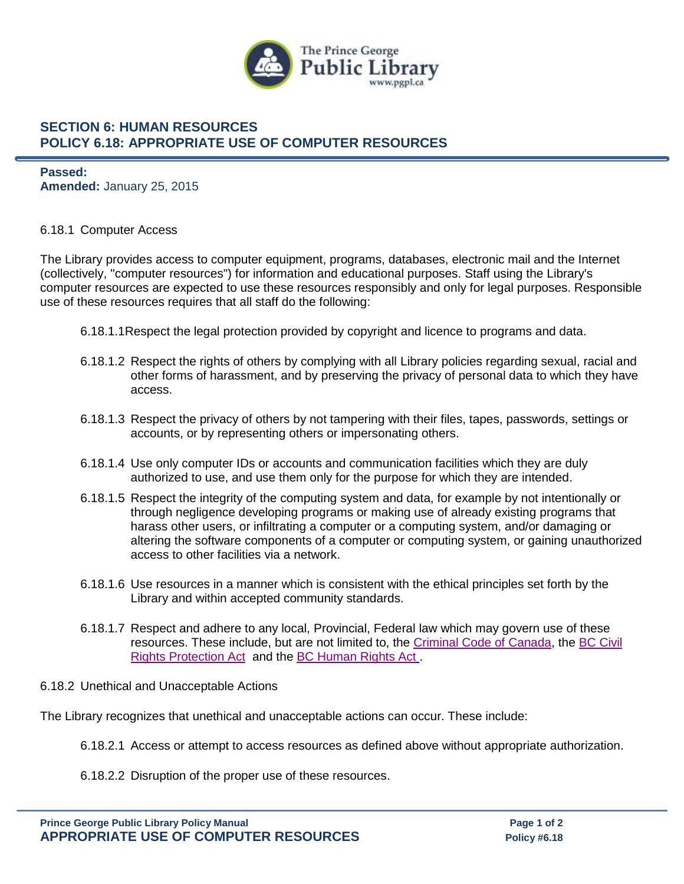

## **SECTION 6: HUMAN RESOURCES POLICY 6.18: APPROPRIATE USE OF COMPUTER RESOURCES**

**Passed: Amended:** January 25, 2015

## 6.18.1 Computer Access

The Library provides access to computer equipment, programs, databases, electronic mail and the Internet (collectively, "computer resources") for information and educational purposes. Staff using the Library's computer resources are expected to use these resources responsibly and only for legal purposes. Responsible use of these resources requires that all staff do the following:

- 6.18.1.1Respect the legal protection provided by copyright and licence to programs and data.
- 6.18.1.2 Respect the rights of others by complying with all Library policies regarding sexual, racial and other forms of harassment, and by preserving the privacy of personal data to which they have access.
- 6.18.1.3 Respect the privacy of others by not tampering with their files, tapes, passwords, settings or accounts, or by representing others or impersonating others.
- 6.18.1.4 Use only computer IDs or accounts and communication facilities which they are duly authorized to use, and use them only for the purpose for which they are intended.
- 6.18.1.5 Respect the integrity of the computing system and data, for example by not intentionally or through negligence developing programs or making use of already existing programs that harass other users, or infiltrating a computer or a computing system, and/or damaging or altering the software components of a computer or computing system, or gaining unauthorized access to other facilities via a network.
- 6.18.1.6 Use resources in a manner which is consistent with the ethical principles set forth by the Library and within accepted community standards.
- 6.18.1.7 Respect and adhere to any local, Provincial, Federal law which may govern use of these resources. These include, but are not limited to, the [Criminal Code of Canada,](https://laws-lois.justice.gc.ca/eng/acts/c-46/) the [BC Civil](https://www.bclaws.gov.bc.ca/civix/document/id/complete/statreg/00_96049_01)  [Rights Protection Act](https://www.bclaws.gov.bc.ca/civix/document/id/complete/statreg/00_96049_01) and the [BC Human Rights Act](https://www.bclaws.gov.bc.ca/civix/document/id/complete/statreg/00_96210_01) .
- 6.18.2 Unethical and Unacceptable Actions

The Library recognizes that unethical and unacceptable actions can occur. These include:

- 6.18.2.1 Access or attempt to access resources as defined above without appropriate authorization.
- 6.18.2.2 Disruption of the proper use of these resources.